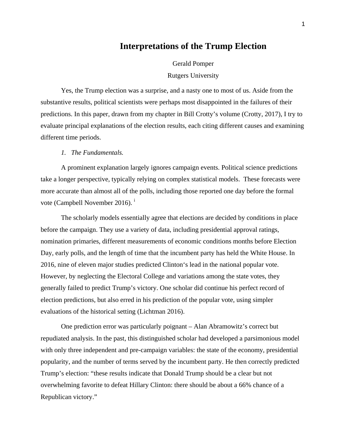# **Interpretations of the Trump Election**

Gerald Pomper Rutgers University

Yes, the Trump election was a surprise, and a nasty one to most of us. Aside from the substantive results, political scientists were perhaps most disappointed in the failures of their predictions. In this paper, drawn from my chapter in Bill Crotty's volume (Crotty, 2017), I try to evaluate principal explanations of the election results, each citing different causes and examining different time periods.

## *1. The Fundamentals.*

A prominent explanation largely ignores campaign events. Political science predictions take a longer perspective, typically relying on complex statistical models. These forecasts were more accurate than almost all of the polls, including those reported one day before the formal vote (Campbell November 2016).<sup>i</sup>

The scholarly models essentially agree that elections are decided by conditions in place before the campaign. They use a variety of data, including presidential approval ratings, nomination primaries, different measurements of economic conditions months before Election Day, early polls, and the length of time that the incumbent party has held the White House. In 2016, nine of eleven major studies predicted Clinton's lead in the national popular vote. However, by neglecting the Electoral College and variations among the state votes, they generally failed to predict Trump's victory. One scholar did continue his perfect record of election predictions, but also erred in his prediction of the popular vote, using simpler evaluations of the historical setting (Lichtman 2016).

One prediction error was particularly poignant – Alan Abramowitz's correct but repudiated analysis. In the past, this distinguished scholar had developed a parsimonious model with only three independent and pre-campaign variables: the state of the economy, presidential popularity, and the number of terms served by the incumbent party. He then correctly predicted Trump's election: "these results indicate that Donald Trump should be a clear but not overwhelming favorite to defeat Hillary Clinton: there should be about a 66% chance of a Republican victory."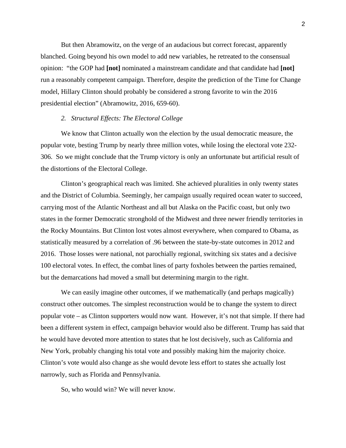But then Abramowitz, on the verge of an audacious but correct forecast, apparently blanched. Going beyond his own model to add new variables, he retreated to the consensual opinion: "the GOP had **[not]** nominated a mainstream candidate and that candidate had **[not]** run a reasonably competent campaign. Therefore, despite the prediction of the Time for Change model, Hillary Clinton should probably be considered a strong favorite to win the 2016 presidential election" (Abramowitz, 2016, 659-60).

# *2. Structural Effects: The Electoral College*

We know that Clinton actually won the election by the usual democratic measure, the popular vote, besting Trump by nearly three million votes, while losing the electoral vote 232- 306. So we might conclude that the Trump victory is only an unfortunate but artificial result of the distortions of the Electoral College.

Clinton's geographical reach was limited. She achieved pluralities in only twenty states and the District of Columbia. Seemingly, her campaign usually required ocean water to succeed, carrying most of the Atlantic Northeast and all but Alaska on the Pacific coast, but only two states in the former Democratic stronghold of the Midwest and three newer friendly territories in the Rocky Mountains. But Clinton lost votes almost everywhere, when compared to Obama, as statistically measured by a correlation of .96 between the state-by-state outcomes in 2012 and 2016. Those losses were national, not parochially regional, switching six states and a decisive 100 electoral votes. In effect, the combat lines of party foxholes between the parties remained, but the demarcations had moved a small but determining margin to the right.

We can easily imagine other outcomes, if we mathematically (and perhaps magically) construct other outcomes. The simplest reconstruction would be to change the system to direct popular vote – as Clinton supporters would now want. However, it's not that simple. If there had been a different system in effect, campaign behavior would also be different. Trump has said that he would have devoted more attention to states that he lost decisively, such as California and New York, probably changing his total vote and possibly making him the majority choice. Clinton's vote would also change as she would devote less effort to states she actually lost narrowly, such as Florida and Pennsylvania.

So, who would win? We will never know.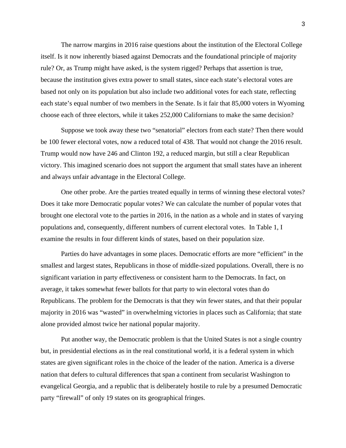The narrow margins in 2016 raise questions about the institution of the Electoral College itself. Is it now inherently biased against Democrats and the foundational principle of majority rule? Or, as Trump might have asked, is the system rigged? Perhaps that assertion is true, because the institution gives extra power to small states, since each state's electoral votes are based not only on its population but also include two additional votes for each state, reflecting each state's equal number of two members in the Senate. Is it fair that 85,000 voters in Wyoming choose each of three electors, while it takes 252,000 Californians to make the same decision?

Suppose we took away these two "senatorial" electors from each state? Then there would be 100 fewer electoral votes, now a reduced total of 438. That would not change the 2016 result. Trump would now have 246 and Clinton 192, a reduced margin, but still a clear Republican victory. This imagined scenario does not support the argument that small states have an inherent and always unfair advantage in the Electoral College.

One other probe. Are the parties treated equally in terms of winning these electoral votes? Does it take more Democratic popular votes? We can calculate the number of popular votes that brought one electoral vote to the parties in 2016, in the nation as a whole and in states of varying populations and, consequently, different numbers of current electoral votes. In Table 1, I examine the results in four different kinds of states, based on their population size.

Parties do have advantages in some places. Democratic efforts are more "efficient" in the smallest and largest states, Republicans in those of middle-sized populations. Overall, there is no significant variation in party effectiveness or consistent harm to the Democrats. In fact, on average, it takes somewhat fewer ballots for that party to win electoral votes than do Republicans. The problem for the Democrats is that they win fewer states, and that their popular majority in 2016 was "wasted" in overwhelming victories in places such as California; that state alone provided almost twice her national popular majority.

Put another way, the Democratic problem is that the United States is not a single country but, in presidential elections as in the real constitutional world, it is a federal system in which states are given significant roles in the choice of the leader of the nation. America is a diverse nation that defers to cultural differences that span a continent from secularist Washington to evangelical Georgia, and a republic that is deliberately hostile to rule by a presumed Democratic party "firewall" of only 19 states on its geographical fringes.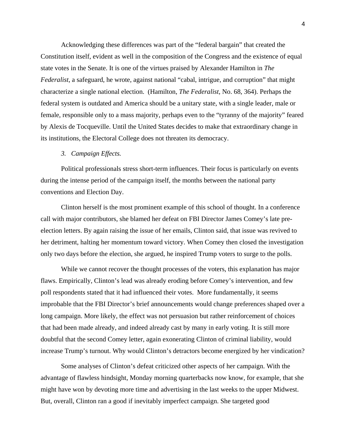Acknowledging these differences was part of the "federal bargain" that created the Constitution itself, evident as well in the composition of the Congress and the existence of equal state votes in the Senate. It is one of the virtues praised by Alexander Hamilton in *The Federalist*, a safeguard, he wrote, against national "cabal, intrigue, and corruption" that might characterize a single national election. (Hamilton, *The Federalist*, No. 68, 364). Perhaps the federal system is outdated and America should be a unitary state, with a single leader, male or female, responsible only to a mass majority, perhaps even to the "tyranny of the majority" feared by Alexis de Tocqueville. Until the United States decides to make that extraordinary change in its institutions, the Electoral College does not threaten its democracy.

# *3. Campaign Effects.*

Political professionals stress short-term influences. Their focus is particularly on events during the intense period of the campaign itself, the months between the national party conventions and Election Day.

Clinton herself is the most prominent example of this school of thought. In a conference call with major contributors, she blamed her defeat on FBI Director James Comey's late preelection letters. By again raising the issue of her emails, Clinton said, that issue was revived to her detriment, halting her momentum toward victory. When Comey then closed the investigation only two days before the election, she argued, he inspired Trump voters to surge to the polls.

While we cannot recover the thought processes of the voters, this explanation has major flaws. Empirically, Clinton's lead was already eroding before Comey's intervention, and few poll respondents stated that it had influenced their votes. More fundamentally, it seems improbable that the FBI Director's brief announcements would change preferences shaped over a long campaign. More likely, the effect was not persuasion but rather reinforcement of choices that had been made already, and indeed already cast by many in early voting. It is still more doubtful that the second Comey letter, again exonerating Clinton of criminal liability, would increase Trump's turnout. Why would Clinton's detractors become energized by her vindication?

Some analyses of Clinton's defeat criticized other aspects of her campaign. With the advantage of flawless hindsight, Monday morning quarterbacks now know, for example, that she might have won by devoting more time and advertising in the last weeks to the upper Midwest. But, overall, Clinton ran a good if inevitably imperfect campaign. She targeted good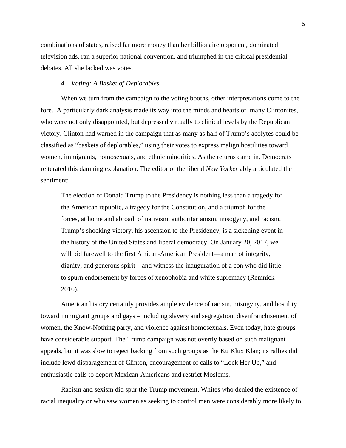combinations of states, raised far more money than her billionaire opponent, dominated television ads, ran a superior national convention, and triumphed in the critical presidential debates. All she lacked was votes.

# *4. Voting: A Basket of Deplorables.*

When we turn from the campaign to the voting booths, other interpretations come to the fore. A particularly dark analysis made its way into the minds and hearts of many Clintonites, who were not only disappointed, but depressed virtually to clinical levels by the Republican victory. Clinton had warned in the campaign that as many as half of Trump's acolytes could be classified as "baskets of deplorables," using their votes to express malign hostilities toward women, immigrants, homosexuals, and ethnic minorities. As the returns came in, Democrats reiterated this damning explanation. The editor of the liberal *New Yorker* ably articulated the sentiment:

The election of Donald Trump to the Presidency is nothing less than a tragedy for the American republic, a tragedy for the Constitution, and a triumph for the forces, at home and abroad, of nativism, authoritarianism, misogyny, and racism. Trump's shocking victory, his ascension to the Presidency, is a sickening event in the history of the United States and liberal democracy. On January 20, 2017, we will bid farewell to the first African-American President—a man of integrity, dignity, and generous spirit—and witness the inauguration of a con who did little to spurn endorsement by forces of xenophobia and white supremacy (Remnick 2016).

American history certainly provides ample evidence of racism, misogyny, and hostility toward immigrant groups and gays – including slavery and segregation, disenfranchisement of women, the Know-Nothing party, and violence against homosexuals. Even today, hate groups have considerable support. The Trump campaign was not overtly based on such malignant appeals, but it was slow to reject backing from such groups as the Ku Klux Klan; its rallies did include lewd disparagement of Clinton, encouragement of calls to "Lock Her Up," and enthusiastic calls to deport Mexican-Americans and restrict Moslems.

Racism and sexism did spur the Trump movement. Whites who denied the existence of racial inequality or who saw women as seeking to control men were considerably more likely to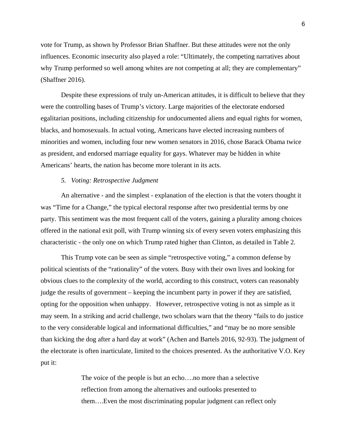vote for Trump, as shown by Professor Brian Shaffner. But these attitudes were not the only influences. Economic insecurity also played a role: "Ultimately, the competing narratives about why Trump performed so well among whites are not competing at all; they are complementary" (Shaffner 2016).

Despite these expressions of truly un-American attitudes, it is difficult to believe that they were the controlling bases of Trump's victory. Large majorities of the electorate endorsed egalitarian positions, including citizenship for undocumented aliens and equal rights for women, blacks, and homosexuals. In actual voting, Americans have elected increasing numbers of minorities and women, including four new women senators in 2016, chose Barack Obama twice as president, and endorsed marriage equality for gays. Whatever may be hidden in white Americans' hearts, the nation has become more tolerant in its acts.

# *5. Voting: Retrospective Judgment*

An alternative - and the simplest - explanation of the election is that the voters thought it was "Time for a Change," the typical electoral response after two presidential terms by one party. This sentiment was the most frequent call of the voters, gaining a plurality among choices offered in the national exit poll, with Trump winning six of every seven voters emphasizing this characteristic - the only one on which Trump rated higher than Clinton, as detailed in Table 2.

This Trump vote can be seen as simple "retrospective voting," a common defense by political scientists of the "rationality" of the voters. Busy with their own lives and looking for obvious clues to the complexity of the world, according to this construct, voters can reasonably judge the results of government – keeping the incumbent party in power if they are satisfied, opting for the opposition when unhappy. However, retrospective voting is not as simple as it may seem. In a striking and acrid challenge, two scholars warn that the theory "fails to do justice to the very considerable logical and informational difficulties," and "may be no more sensible than kicking the dog after a hard day at work" (Achen and Bartels 2016, 92-93). The judgment of the electorate is often inarticulate, limited to the choices presented. As the authoritative V.O. Key put it:

> The voice of the people is but an echo….no more than a selective reflection from among the alternatives and outlooks presented to them….Even the most discriminating popular judgment can reflect only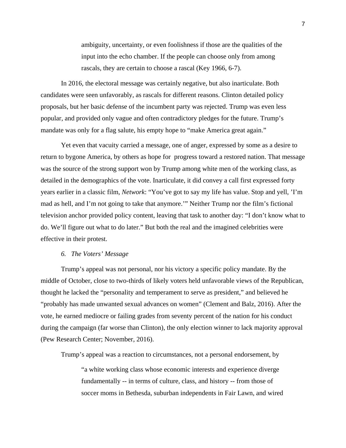ambiguity, uncertainty, or even foolishness if those are the qualities of the input into the echo chamber. If the people can choose only from among rascals, they are certain to choose a rascal (Key 1966, 6-7).

In 2016, the electoral message was certainly negative, but also inarticulate. Both candidates were seen unfavorably, as rascals for different reasons. Clinton detailed policy proposals, but her basic defense of the incumbent party was rejected. Trump was even less popular, and provided only vague and often contradictory pledges for the future. Trump's mandate was only for a flag salute, his empty hope to "make America great again."

Yet even that vacuity carried a message, one of anger, expressed by some as a desire to return to bygone America, by others as hope for progress toward a restored nation. That message was the source of the strong support won by Trump among white men of the working class, as detailed in the demographics of the vote. Inarticulate, it did convey a call first expressed forty years earlier in a classic film, *Network*: "You've got to say my life has value. Stop and yell, 'I'm mad as hell, and I'm not going to take that anymore.'" Neither Trump nor the film's fictional television anchor provided policy content, leaving that task to another day: "I don't know what to do. We'll figure out what to do later." But both the real and the imagined celebrities were effective in their protest.

#### *6. The Voters' Message*

Trump's appeal was not personal, nor his victory a specific policy mandate. By the middle of October, close to two-thirds of likely voters held unfavorable views of the Republican, thought he lacked the "personality and temperament to serve as president," and believed he "probably has made unwanted sexual advances on women" (Clement and Balz, 2016). After the vote, he earned mediocre or failing grades from seventy percent of the nation for his conduct during the campaign (far worse than Clinton), the only election winner to lack majority approval (Pew Research Center; November, 2016).

Trump's appeal was a reaction to circumstances, not a personal endorsement, by

"a white working class whose economic interests and experience diverge fundamentally -- in terms of culture, class, and history -- from those of soccer moms in Bethesda, suburban independents in Fair Lawn, and wired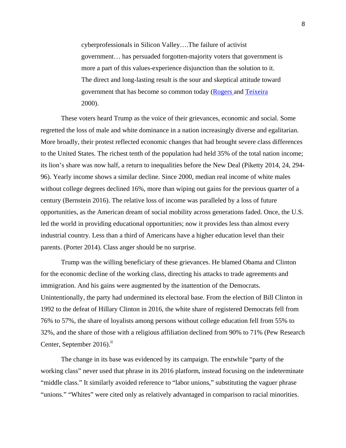cyberprofessionals in Silicon Valley….The failure of activist government… has persuaded forgotten-majority voters that government is more a part of this values-experience disjunction than the solution to it. The direct and long-lasting result is the sour and skeptical attitude toward government that has become so common today (Rogers and Teixeira 2000).

These voters heard Trump as the voice of their grievances, economic and social. Some regretted the loss of male and white dominance in a nation increasingly diverse and egalitarian. More broadly, their protest reflected economic changes that had brought severe class differences to the United States. The richest tenth of the population had held 35% of the total nation income; its lion's share was now half, a return to inequalities before the New Deal (Piketty 2014, 24, 294- 96). Yearly income shows a similar decline. Since 2000, median real income of white males without college degrees declined 16%, more than wiping out gains for the previous quarter of a century (Bernstein 2016). The relative loss of income was paralleled by a loss of future opportunities, as the American dream of social mobility across generations faded. Once, the U.S. led the world in providing educational opportunities; now it provides less than almost every industrial country. Less than a third of Americans have a higher education level than their parents. (Porter 2014). Class anger should be no surprise.

Trump was the willing beneficiary of these grievances. He blamed Obama and Clinton for the economic decline of the working class, directing his attacks to trade agreements and immigration. And his gains were augmented by the inattention of the Democrats. Unintentionally, the party had undermined its electoral base. From the election of Bill Clinton in 1992 to the defeat of Hillary Clinton in 2016, the white share of registered Democrats fell from 76% to 57%, the share of loyalists among persons without college education fell from 55% to 32%, and the share of those with a religious affiliation declined from 90% to 71% (Pew Research Center, September 2016).<sup>ii</sup>

The change in its base was evidenced by its campaign. The erstwhile "party of the working class" never used that phrase in its 2016 platform, instead focusing on the indeterminate "middle class." It similarly avoided reference to "labor unions," substituting the vaguer phrase "unions." "Whites" were cited only as relatively advantaged in comparison to racial minorities.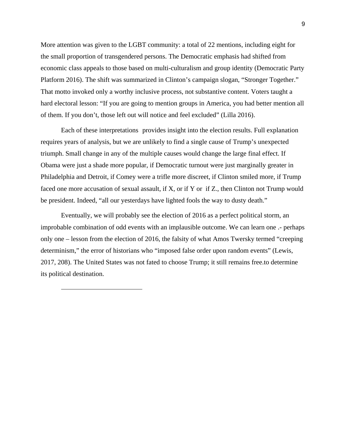More attention was given to the LGBT community: a total of 22 mentions, including eight for the small proportion of transgendered persons. The Democratic emphasis had shifted from economic class appeals to those based on multi-culturalism and group identity (Democratic Party Platform 2016). The shift was summarized in Clinton's campaign slogan, "Stronger Together." That motto invoked only a worthy inclusive process, not substantive content. Voters taught a hard electoral lesson: "If you are going to mention groups in America, you had better mention all of them. If you don't, those left out will notice and feel excluded" (Lilla 2016).

Each of these interpretations provides insight into the election results. Full explanation requires years of analysis, but we are unlikely to find a single cause of Trump's unexpected triumph. Small change in any of the multiple causes would change the large final effect. If Obama were just a shade more popular, if Democratic turnout were just marginally greater in Philadelphia and Detroit, if Comey were a trifle more discreet, if Clinton smiled more, if Trump faced one more accusation of sexual assault, if X, or if Y or if Z., then Clinton not Trump would be president. Indeed, "all our yesterdays have lighted fools the way to dusty death."

Eventually, we will probably see the election of 2016 as a perfect political storm, an improbable combination of odd events with an implausible outcome. We can learn one .- perhaps only one – lesson from the election of 2016, the falsity of what Amos Twersky termed "creeping determinism," the error of historians who "imposed false order upon random events" (Lewis, 2017, 208). The United States was not fated to choose Trump; it still remains free.to determine its political destination.